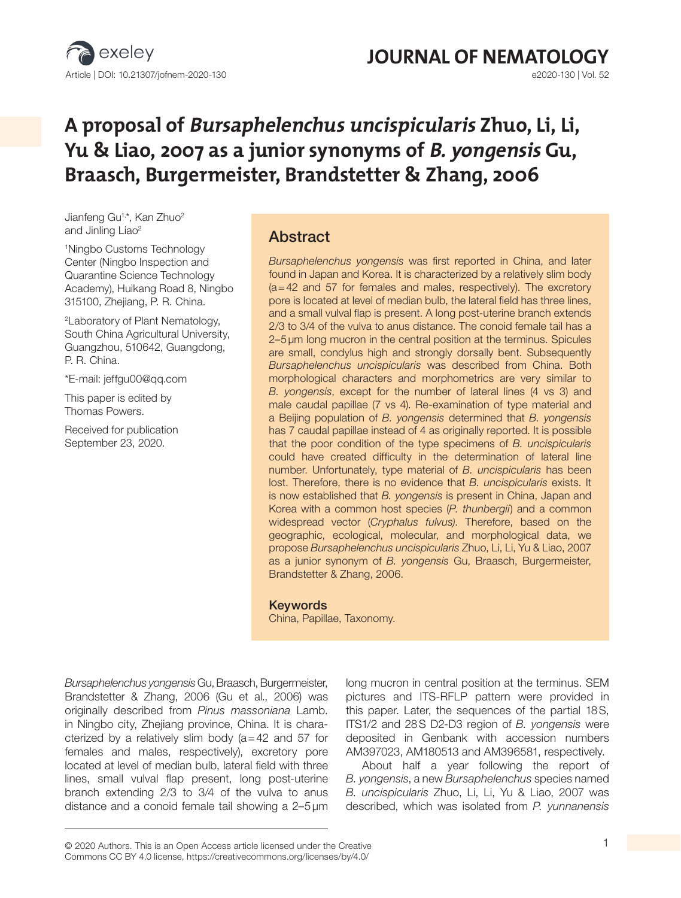

# **JOURNAL OF NEMATOLOGY**<br>e2020-130 | Vol. 52

# **A proposal of Bursaphelenchus uncispicularis Zhuo, Li, Li, Yu & Liao, 2007 as a junior synonyms of B. yongensis Gu, Braasch, Burgermeister, Brandstetter & Zhang, 2006**

Jianfeng Gu<sup>1,\*</sup>, Kan Zhuo<sup>2</sup> and Jinling Liao<sup>2</sup>

1 Ningbo Customs Technology Center (Ningbo Inspection and Quarantine Science Technology Academy), Huikang Road 8, Ningbo 315100, Zhejiang, P. R. China.

2 Laboratory of Plant Nematology, South China Agricultural University, Guangzhou, 510642, Guangdong, P. R. China.

\*E-mail: jeffgu00@qq.com

This paper is edited by Thomas Powers.

Received for publication September 23, 2020.

# Abstract

*Bursaphelenchus yongensis* was first reported in China, and later found in Japan and Korea. It is characterized by a relatively slim body (a=42 and 57 for females and males, respectively). The excretory pore is located at level of median bulb, the lateral field has three lines, and a small vulval flap is present. A long post-uterine branch extends 2/3 to 3/4 of the vulva to anus distance. The conoid female tail has a 2–5µm long mucron in the central position at the terminus. Spicules are small, condylus high and strongly dorsally bent. Subsequently *Bursaphelenchus uncispicularis* was described from China. Both morphological characters and morphometrics are very similar to *B. yongensis*, except for the number of lateral lines (4 vs 3) and male caudal papillae (7 vs 4). Re-examination of type material and a Beijing population of *B. yongensis* determined that *B. yongensis*  has 7 caudal papillae instead of 4 as originally reported. It is possible that the poor condition of the type specimens of *B. uncispicularis*  could have created difficulty in the determination of lateral line number. Unfortunately, type material of *B. uncispicularis* has been lost. Therefore, there is no evidence that *B. uncispicularis* exists. It is now established that *B. yongensis* is present in China, Japan and Korea with a common host species (*P. thunbergii*) and a common widespread vector (*Cryphalus fulvus)*. Therefore, based on the geographic, ecological, molecular, and morphological data, we propose *Bursaphelenchus uncispicularis* Zhuo, Li, Li, Yu & Liao, 2007 as a junior synonym of *B. yongensis* Gu, Braasch, Burgermeister, Brandstetter & Zhang, 2006.

#### Keywords

China, Papillae, Taxonomy.

*Bursaphelenchus yongensis* Gu, Braasch, Burgermeister, Brandstetter & Zhang, 2006 (Gu et al., 2006) was originally described from *Pinus massoniana* Lamb. in Ningbo city, Zhejiang province, China. It is characterized by a relatively slim body  $(a=42$  and 57 for females and males, respectively), excretory pore located at level of median bulb, lateral field with three lines, small vulval flap present, long post-uterine branch extending 2/3 to 3/4 of the vulva to anus distance and a conoid female tail showing a 2–5µm

long mucron in central position at the terminus. SEM pictures and ITS-RFLP pattern were provided in this paper. Later, the sequences of the partial 18S, ITS1/2 and 28S D2-D3 region of *B. yongensis* were deposited in Genbank with accession numbers AM397023, AM180513 and AM396581, respectively.

About half a year following the report of *B. yongensis*, a new *Bursaphelenchus* species named *B. uncispicularis* Zhuo, Li, Li, Yu & Liao, 2007 was described, which was isolated from *P. yunnanensis*

<sup>© 2020</sup> Authors. This is an Open Access article licensed under the Creative 1 Commons CC BY 4.0 license, https://creativecommons.org/licenses/by/4.0/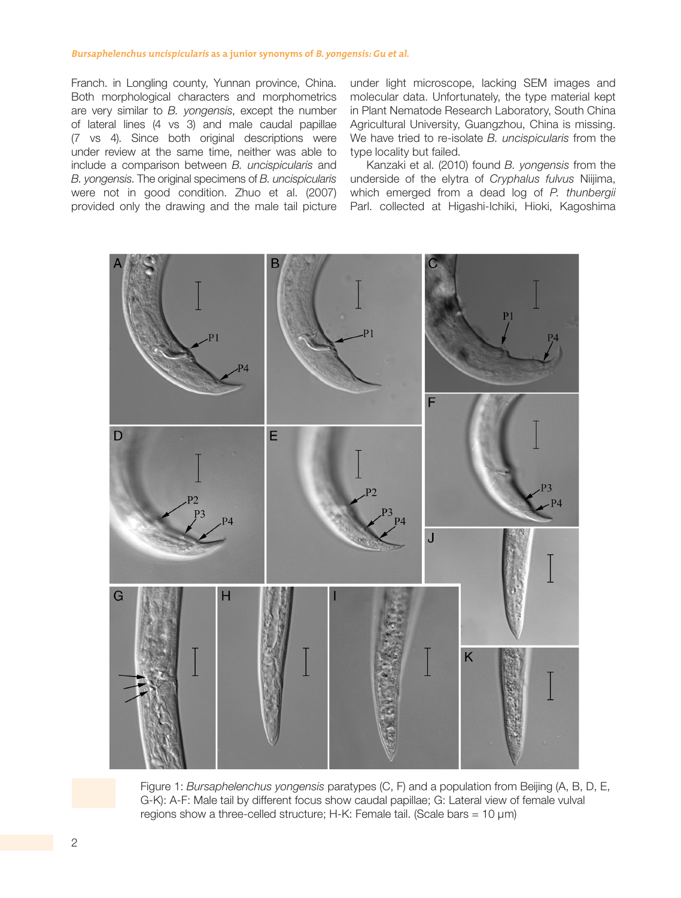#### **Bursaphelenchus uncispicularis as a junior synonyms of B. yongensis: Gu et al.**

Franch. in Longling county, Yunnan province, China. Both morphological characters and morphometrics are very similar to *B. yongensis*, except the number of lateral lines (4 vs 3) and male caudal papillae (7 vs 4). Since both original descriptions were under review at the same time, neither was able to include a comparison between *B. uncispicularis* and *B. yongensis*. The original specimens of *B. uncispicularis* were not in good condition. Zhuo et al. (2007) provided only the drawing and the male tail picture under light microscope, lacking SEM images and molecular data. Unfortunately, the type material kept in Plant Nematode Research Laboratory, South China Agricultural University, Guangzhou, China is missing. We have tried to re-isolate *B. uncispicularis* from the type locality but failed.

Kanzaki et al. (2010) found *B. yongensis* from the underside of the elytra of *Cryphalus fulvus* Niijima, which emerged from a dead log of *P. thunbergii* Parl. collected at Higashi-Ichiki, Hioki, Kagoshima



Figure 1: *Bursaphelenchus yongensis* paratypes (C, F) and a population from Beijing (A, B, D, E, G-K): A-F: Male tail by different focus show caudal papillae; G: Lateral view of female vulval regions show a three-celled structure; H-K: Female tail. (Scale bars = 10 μm)